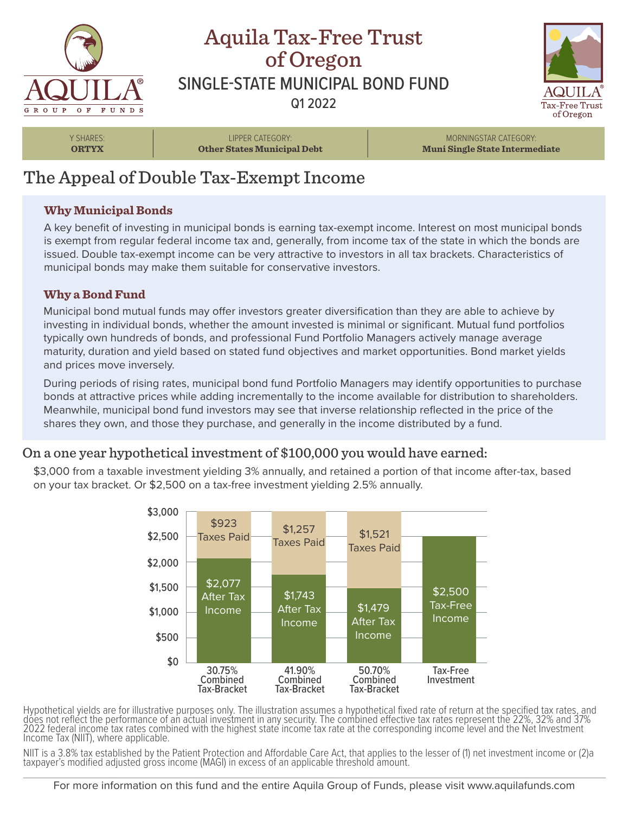

## Aquila Tax-Free Trust of Oregon SINGLE-STATE MUNICIPAL BOND FUND Q1 2022



Y SHARES: **ORTYX**

LIPPER CATEGORY: **Other States Municipal Debt**

MORNINGSTAR CATEGORY: **Muni Single State Intermediate**

# The Appeal of Double Tax-Exempt Income

### **Why Municipal Bonds**

A key benefit of investing in municipal bonds is earning tax-exempt income. Interest on most municipal bonds is exempt from regular federal income tax and, generally, from income tax of the state in which the bonds are issued. Double tax-exempt income can be very attractive to investors in all tax brackets. Characteristics of municipal bonds may make them suitable for conservative investors.

### **Why a Bond Fund**

Municipal bond mutual funds may offer investors greater diversification than they are able to achieve by investing in individual bonds, whether the amount invested is minimal or significant. Mutual fund portfolios typically own hundreds of bonds, and professional Fund Portfolio Managers actively manage average maturity, duration and yield based on stated fund objectives and market opportunities. Bond market yields and prices move inversely.

During periods of rising rates, municipal bond fund Portfolio Managers may identify opportunities to purchase bonds at attractive prices while adding incrementally to the income available for distribution to shareholders. Meanwhile, municipal bond fund investors may see that inverse relationship reflected in the price of the shares they own, and those they purchase, and generally in the income distributed by a fund.

## On a one year hypothetical investment of \$100,000 you would have earned:

\$3,000 from a taxable investment yielding 3% annually, and retained a portion of that income after-tax, based on your tax bracket. Or \$2,500 on a tax-free investment yielding 2.5% annually.



Hypothetical yields are for illustrative purposes only. The illustration assumes a hypothetical fixed rate of return at the specified tax rates, and does not reflect the performance of an actual investment in any security. The combined effective tax rates represent the 22%, 32% and 37% 2022 federal income tax rates combined with the highest state income tax rate at the corresponding income level and the Net Investment Income Tax (NIIT), where applicable.

NIIT is a 3.8% tax established by the Patient Protection and Affordable Care Act, that applies to the lesser of (1) net investment income or (2)a taxpayer's modified adjusted gross income (MAGI) in excess of an applicable threshold amount.